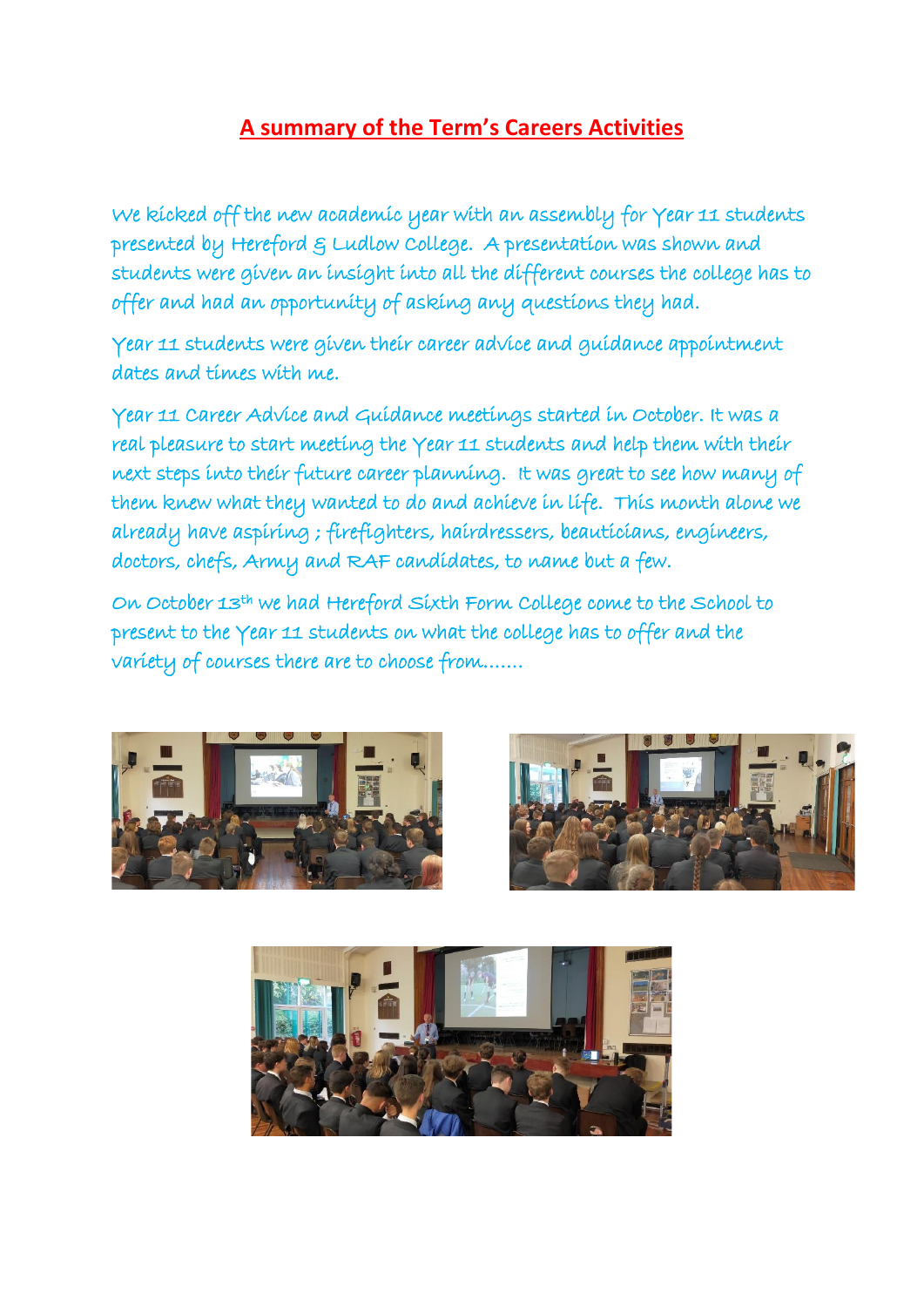## **A summary of the Term's Careers Activities**

We kicked off the new academic year with an assembly for Year 11 students presented by Hereford & Ludlow College. A presentation was shown and students were given an insight into all the different courses the college has to offer and had an opportunity of asking any questions they had.

Year 11 students were given their career advice and guidance appointment dates and times with me.

Year 11 Career Advice and Guidance meetings started in October. It was a real pleasure to start meeting the Year 11 students and help them with their next steps into their future career planning. It was great to see how many of them knew what they wanted to do and achieve in life. This month alone we already have aspiring ; firefighters, hairdressers, beauticians, engineers, doctors, chefs, Army and RAF candidates, to name but a few.

On October 13th we had Hereford Sixth Form College come to the School to present to the Year 11 students on what the college has to offer and the variety of courses there are to choose from…….





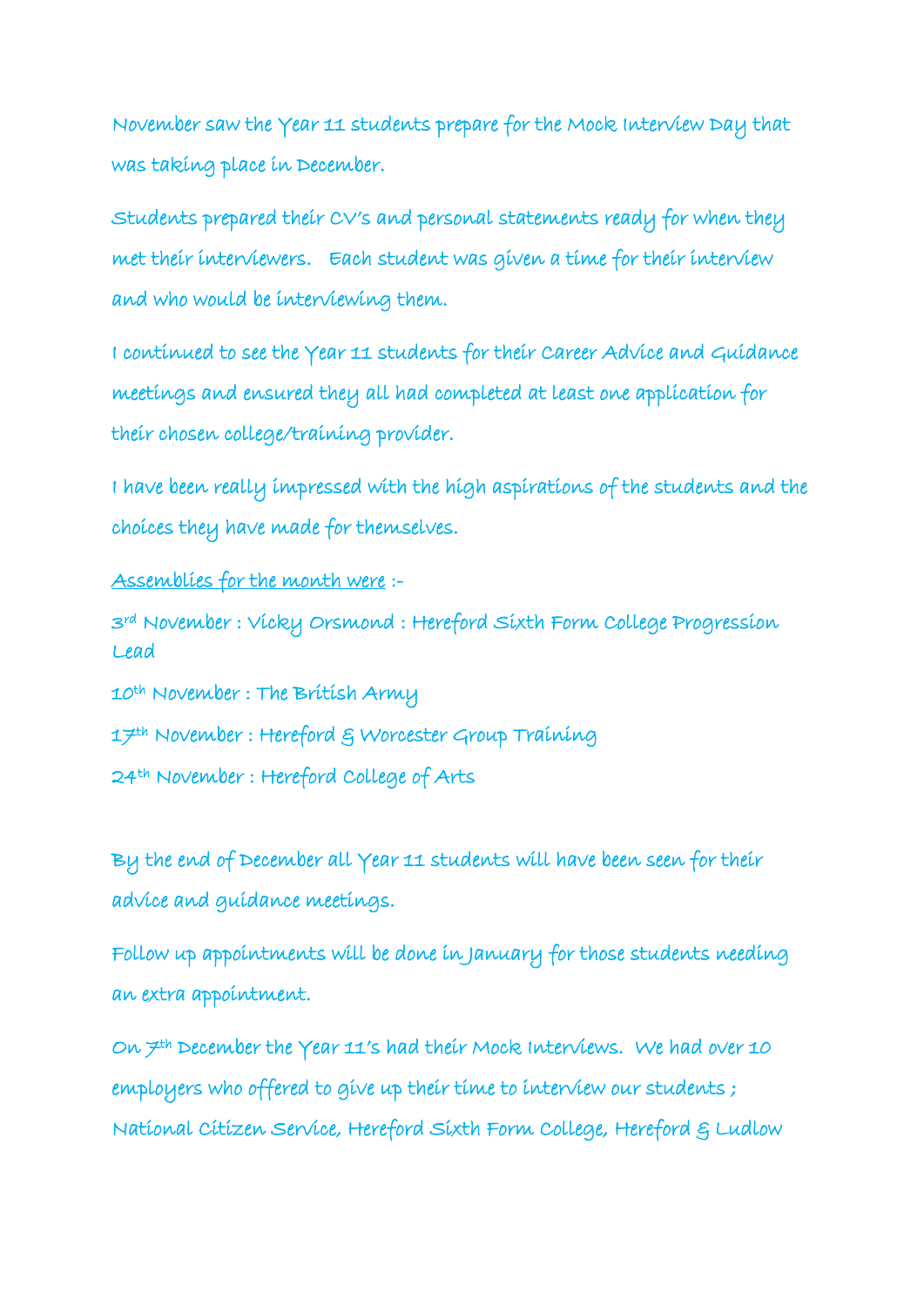November saw the Year 11 students prepare for the Mock Interview Day that was taking place in December.

Students prepared their CV's and personal statements ready for when they met their interviewers. Each student was given a time for their interview and who would be interviewing them.

I continued to see the Year 11 students for their Career Advice and Guidance meetings and ensured they all had completed at least one application for their chosen college/training provider.

I have been really impressed with the high aspirations of the students and the choices they have made for themselves.

Assemblies for the month were :-

3rd November : Vicky Orsmond : Hereford Sixth Form College Progression Lead

10th November : The British Army

17th November : Hereford & Worcester Group Training

24th November : Hereford College of Arts

By the end of December all Year 11 students will have been seen for their advice and guidance meetings.

Follow up appointments will be done in January for those students needing an extra appointment.

On  $\neq$ <sup>th</sup> December the Year 11's had their Mock Interviews. We had over 10 employers who offered to give up their time to interview our students; National Citizen Service, Hereford Sixth Form College, Hereford & Ludlow